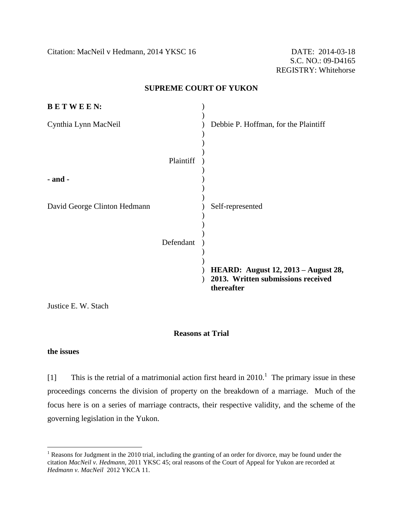Citation: MacNeil v Hedmann, 2014 YKSC 16 DATE: 2014-03-18

#### **SUPREME COURT OF YUKON**

|           | Debbie P. Hoffman, for the Plaintiff                                                    |
|-----------|-----------------------------------------------------------------------------------------|
| Plaintiff |                                                                                         |
|           |                                                                                         |
|           | Self-represented                                                                        |
| Defendant |                                                                                         |
|           | HEARD: August 12, 2013 - August 28,<br>2013. Written submissions received<br>thereafter |
|           |                                                                                         |

Justice E. W. Stach

### **Reasons at Trial**

#### **the issues**

 $\overline{a}$ 

[1] This is the retrial of a matrimonial action first heard in  $2010<sup>1</sup>$ . The primary issue in these proceedings concerns the division of property on the breakdown of a marriage. Much of the focus here is on a series of marriage contracts, their respective validity, and the scheme of the governing legislation in the Yukon.

 $1$  Reasons for Judgment in the 2010 trial, including the granting of an order for divorce, may be found under the citation *MacNeil v. Hedmann,* 2011 YKSC 45; oral reasons of the Court of Appeal for Yukon are recorded at *Hedmann v. MacNeil* 2012 YKCA 11.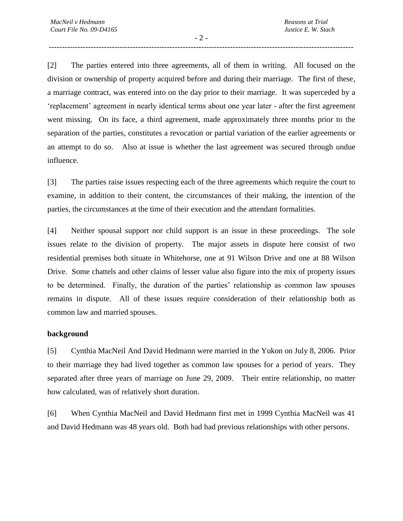$-2 -$ --------------------------------------------------------------------------------------------------------------------

[2] The parties entered into three agreements, all of them in writing. All focused on the division or ownership of property acquired before and during their marriage. The first of these, a marriage contract, was entered into on the day prior to their marriage. It was superceded by a 'replacement' agreement in nearly identical terms about one year later - after the first agreement went missing. On its face, a third agreement, made approximately three months prior to the separation of the parties, constitutes a revocation or partial variation of the earlier agreements or an attempt to do so. Also at issue is whether the last agreement was secured through undue influence.

[3] The parties raise issues respecting each of the three agreements which require the court to examine, in addition to their content, the circumstances of their making, the intention of the parties, the circumstances at the time of their execution and the attendant formalities.

[4] Neither spousal support nor child support is an issue in these proceedings. The sole issues relate to the division of property. The major assets in dispute here consist of two residential premises both situate in Whitehorse, one at 91 Wilson Drive and one at 88 Wilson Drive. Some chattels and other claims of lesser value also figure into the mix of property issues to be determined. Finally, the duration of the parties' relationship as common law spouses remains in dispute. All of these issues require consideration of their relationship both as common law and married spouses.

#### **background**

[5] Cynthia MacNeil And David Hedmann were married in the Yukon on July 8, 2006. Prior to their marriage they had lived together as common law spouses for a period of years. They separated after three years of marriage on June 29, 2009. Their entire relationship, no matter how calculated, was of relatively short duration.

[6] When Cynthia MacNeil and David Hedmann first met in 1999 Cynthia MacNeil was 41 and David Hedmann was 48 years old. Both had had previous relationships with other persons.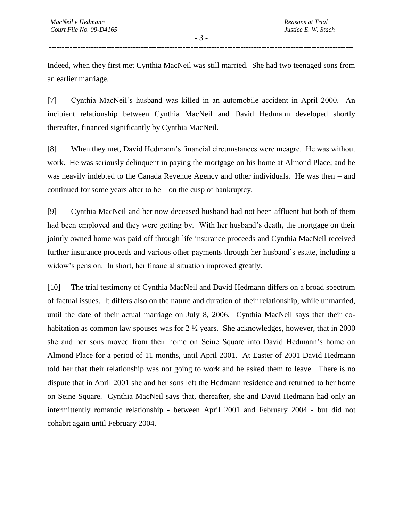Indeed, when they first met Cynthia MacNeil was still married. She had two teenaged sons from an earlier marriage.

[7] Cynthia MacNeil's husband was killed in an automobile accident in April 2000. An incipient relationship between Cynthia MacNeil and David Hedmann developed shortly thereafter, financed significantly by Cynthia MacNeil.

[8] When they met, David Hedmann's financial circumstances were meagre. He was without work. He was seriously delinquent in paying the mortgage on his home at Almond Place; and he was heavily indebted to the Canada Revenue Agency and other individuals. He was then – and continued for some years after to be – on the cusp of bankruptcy.

[9] Cynthia MacNeil and her now deceased husband had not been affluent but both of them had been employed and they were getting by. With her husband's death, the mortgage on their jointly owned home was paid off through life insurance proceeds and Cynthia MacNeil received further insurance proceeds and various other payments through her husband's estate, including a widow's pension. In short, her financial situation improved greatly.

[10] The trial testimony of Cynthia MacNeil and David Hedmann differs on a broad spectrum of factual issues. It differs also on the nature and duration of their relationship, while unmarried, until the date of their actual marriage on July 8, 2006. Cynthia MacNeil says that their cohabitation as common law spouses was for 2  $\frac{1}{2}$  years. She acknowledges, however, that in 2000 she and her sons moved from their home on Seine Square into David Hedmann's home on Almond Place for a period of 11 months, until April 2001. At Easter of 2001 David Hedmann told her that their relationship was not going to work and he asked them to leave. There is no dispute that in April 2001 she and her sons left the Hedmann residence and returned to her home on Seine Square. Cynthia MacNeil says that, thereafter, she and David Hedmann had only an intermittently romantic relationship - between April 2001 and February 2004 - but did not cohabit again until February 2004.

- 3 - --------------------------------------------------------------------------------------------------------------------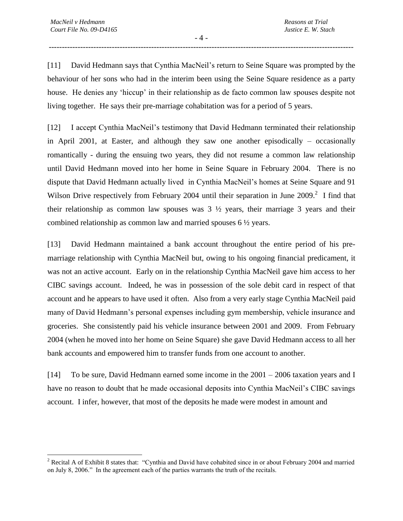$\overline{a}$ 

- 4 - --------------------------------------------------------------------------------------------------------------------

[11] David Hedmann says that Cynthia MacNeil's return to Seine Square was prompted by the behaviour of her sons who had in the interim been using the Seine Square residence as a party house. He denies any 'hiccup' in their relationship as de facto common law spouses despite not living together. He says their pre-marriage cohabitation was for a period of 5 years.

[12] I accept Cynthia MacNeil's testimony that David Hedmann terminated their relationship in April 2001, at Easter, and although they saw one another episodically – occasionally romantically - during the ensuing two years, they did not resume a common law relationship until David Hedmann moved into her home in Seine Square in February 2004. There is no dispute that David Hedmann actually lived in Cynthia MacNeil's homes at Seine Square and 91 Wilson Drive respectively from February 2004 until their separation in June  $2009$ .<sup>2</sup> I find that their relationship as common law spouses was  $3\frac{1}{2}$  years, their marriage 3 years and their combined relationship as common law and married spouses 6 ½ years.

[13] David Hedmann maintained a bank account throughout the entire period of his premarriage relationship with Cynthia MacNeil but, owing to his ongoing financial predicament, it was not an active account. Early on in the relationship Cynthia MacNeil gave him access to her CIBC savings account. Indeed, he was in possession of the sole debit card in respect of that account and he appears to have used it often. Also from a very early stage Cynthia MacNeil paid many of David Hedmann's personal expenses including gym membership, vehicle insurance and groceries. She consistently paid his vehicle insurance between 2001 and 2009. From February 2004 (when he moved into her home on Seine Square) she gave David Hedmann access to all her bank accounts and empowered him to transfer funds from one account to another.

[14] To be sure, David Hedmann earned some income in the 2001 – 2006 taxation years and I have no reason to doubt that he made occasional deposits into Cynthia MacNeil's CIBC savings account. I infer, however, that most of the deposits he made were modest in amount and

<sup>&</sup>lt;sup>2</sup> Recital A of Exhibit 8 states that: "Cynthia and David have cohabited since in or about February 2004 and married on July 8, 2006." In the agreement each of the parties warrants the truth of the recitals.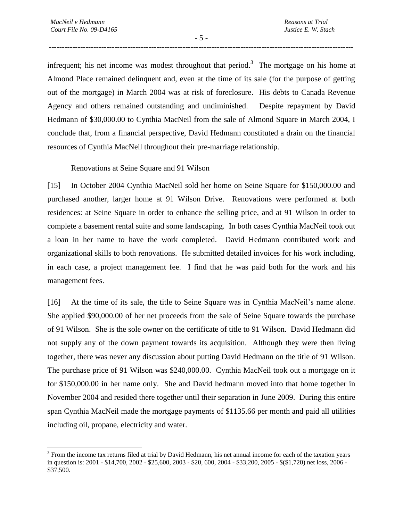$\overline{a}$ 

- 5 - --------------------------------------------------------------------------------------------------------------------

infrequent; his net income was modest throughout that period.<sup>3</sup> The mortgage on his home at Almond Place remained delinquent and, even at the time of its sale (for the purpose of getting out of the mortgage) in March 2004 was at risk of foreclosure. His debts to Canada Revenue Agency and others remained outstanding and undiminished. Despite repayment by David Hedmann of \$30,000.00 to Cynthia MacNeil from the sale of Almond Square in March 2004, I conclude that, from a financial perspective, David Hedmann constituted a drain on the financial resources of Cynthia MacNeil throughout their pre-marriage relationship.

#### Renovations at Seine Square and 91 Wilson

[15] In October 2004 Cynthia MacNeil sold her home on Seine Square for \$150,000.00 and purchased another, larger home at 91 Wilson Drive. Renovations were performed at both residences: at Seine Square in order to enhance the selling price, and at 91 Wilson in order to complete a basement rental suite and some landscaping. In both cases Cynthia MacNeil took out a loan in her name to have the work completed. David Hedmann contributed work and organizational skills to both renovations. He submitted detailed invoices for his work including, in each case, a project management fee. I find that he was paid both for the work and his management fees.

[16] At the time of its sale, the title to Seine Square was in Cynthia MacNeil's name alone. She applied \$90,000.00 of her net proceeds from the sale of Seine Square towards the purchase of 91 Wilson. She is the sole owner on the certificate of title to 91 Wilson. David Hedmann did not supply any of the down payment towards its acquisition. Although they were then living together, there was never any discussion about putting David Hedmann on the title of 91 Wilson. The purchase price of 91 Wilson was \$240,000.00. Cynthia MacNeil took out a mortgage on it for \$150,000.00 in her name only. She and David hedmann moved into that home together in November 2004 and resided there together until their separation in June 2009. During this entire span Cynthia MacNeil made the mortgage payments of \$1135.66 per month and paid all utilities including oil, propane, electricity and water.

 $3$  From the income tax returns filed at trial by David Hedmann, his net annual income for each of the taxation years in question is: 2001 - \$14,700, 2002 - \$25,600, 2003 - \$20, 600, 2004 - \$33,200, 2005 - \$(\$1,720) net loss, 2006 - \$37,500.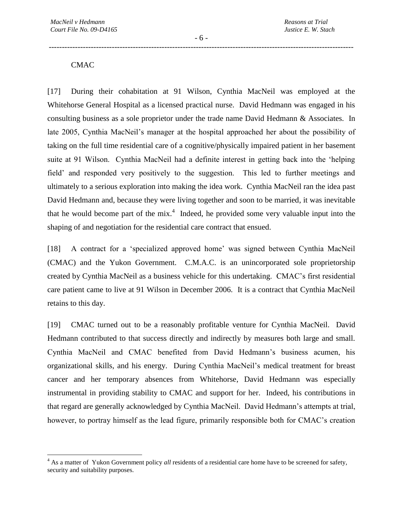- 6 - --------------------------------------------------------------------------------------------------------------------

# **CMAC**

 $\overline{a}$ 

[17] During their cohabitation at 91 Wilson, Cynthia MacNeil was employed at the Whitehorse General Hospital as a licensed practical nurse. David Hedmann was engaged in his consulting business as a sole proprietor under the trade name David Hedmann & Associates. In late 2005, Cynthia MacNeil's manager at the hospital approached her about the possibility of taking on the full time residential care of a cognitive/physically impaired patient in her basement suite at 91 Wilson. Cynthia MacNeil had a definite interest in getting back into the 'helping field' and responded very positively to the suggestion. This led to further meetings and ultimately to a serious exploration into making the idea work. Cynthia MacNeil ran the idea past David Hedmann and, because they were living together and soon to be married, it was inevitable that he would become part of the mix.<sup>4</sup> Indeed, he provided some very valuable input into the shaping of and negotiation for the residential care contract that ensued.

[18] A contract for a 'specialized approved home' was signed between Cynthia MacNeil (CMAC) and the Yukon Government. C.M.A.C. is an unincorporated sole proprietorship created by Cynthia MacNeil as a business vehicle for this undertaking. CMAC's first residential care patient came to live at 91 Wilson in December 2006. It is a contract that Cynthia MacNeil retains to this day.

[19] CMAC turned out to be a reasonably profitable venture for Cynthia MacNeil. David Hedmann contributed to that success directly and indirectly by measures both large and small. Cynthia MacNeil and CMAC benefited from David Hedmann's business acumen, his organizational skills, and his energy. During Cynthia MacNeil's medical treatment for breast cancer and her temporary absences from Whitehorse, David Hedmann was especially instrumental in providing stability to CMAC and support for her. Indeed, his contributions in that regard are generally acknowledged by Cynthia MacNeil. David Hedmann's attempts at trial, however, to portray himself as the lead figure, primarily responsible both for CMAC's creation

<sup>4</sup> As a matter of Yukon Government policy *all* residents of a residential care home have to be screened for safety, security and suitability purposes.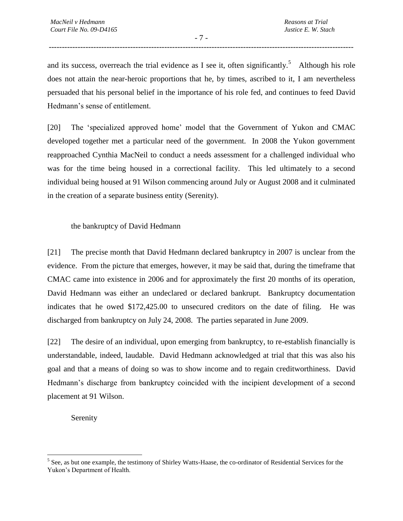- 7 - --------------------------------------------------------------------------------------------------------------------

and its success, overreach the trial evidence as I see it, often significantly.<sup>5</sup> Although his role does not attain the near-heroic proportions that he, by times, ascribed to it, I am nevertheless persuaded that his personal belief in the importance of his role fed, and continues to feed David Hedmann's sense of entitlement.

[20] The 'specialized approved home' model that the Government of Yukon and CMAC developed together met a particular need of the government. In 2008 the Yukon government reapproached Cynthia MacNeil to conduct a needs assessment for a challenged individual who was for the time being housed in a correctional facility. This led ultimately to a second individual being housed at 91 Wilson commencing around July or August 2008 and it culminated in the creation of a separate business entity (Serenity).

## the bankruptcy of David Hedmann

[21] The precise month that David Hedmann declared bankruptcy in 2007 is unclear from the evidence. From the picture that emerges, however, it may be said that, during the timeframe that CMAC came into existence in 2006 and for approximately the first 20 months of its operation, David Hedmann was either an undeclared or declared bankrupt. Bankruptcy documentation indicates that he owed \$172,425.00 to unsecured creditors on the date of filing. He was discharged from bankruptcy on July 24, 2008. The parties separated in June 2009.

[22] The desire of an individual, upon emerging from bankruptcy, to re-establish financially is understandable, indeed, laudable. David Hedmann acknowledged at trial that this was also his goal and that a means of doing so was to show income and to regain creditworthiness. David Hedmann's discharge from bankruptcy coincided with the incipient development of a second placement at 91 Wilson.

Serenity

 $\overline{a}$ 

<sup>&</sup>lt;sup>5</sup> See, as but one example, the testimony of Shirley Watts-Haase, the co-ordinator of Residential Services for the Yukon's Department of Health.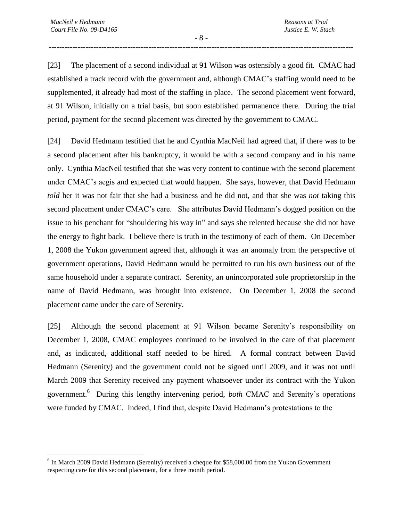$\overline{a}$ 

- 8 - --------------------------------------------------------------------------------------------------------------------

[23] The placement of a second individual at 91 Wilson was ostensibly a good fit. CMAC had established a track record with the government and, although CMAC's staffing would need to be supplemented, it already had most of the staffing in place. The second placement went forward, at 91 Wilson, initially on a trial basis, but soon established permanence there. During the trial period, payment for the second placement was directed by the government to CMAC.

[24] David Hedmann testified that he and Cynthia MacNeil had agreed that, if there was to be a second placement after his bankruptcy, it would be with a second company and in his name only. Cynthia MacNeil testified that she was very content to continue with the second placement under CMAC's aegis and expected that would happen. She says, however, that David Hedmann *told* her it was not fair that she had a business and he did not, and that she was *not* taking this second placement under CMAC's care. She attributes David Hedmann's dogged position on the issue to his penchant for "shouldering his way in" and says she relented because she did not have the energy to fight back. I believe there is truth in the testimony of each of them. On December 1, 2008 the Yukon government agreed that, although it was an anomaly from the perspective of government operations, David Hedmann would be permitted to run his own business out of the same household under a separate contract. Serenity, an unincorporated sole proprietorship in the name of David Hedmann, was brought into existence. On December 1, 2008 the second placement came under the care of Serenity.

[25] Although the second placement at 91 Wilson became Serenity's responsibility on December 1, 2008, CMAC employees continued to be involved in the care of that placement and, as indicated, additional staff needed to be hired. A formal contract between David Hedmann (Serenity) and the government could not be signed until 2009, and it was not until March 2009 that Serenity received any payment whatsoever under its contract with the Yukon government.<sup>6</sup> During this lengthy intervening period, *both* CMAC and Serenity's operations were funded by CMAC. Indeed, I find that, despite David Hedmann's protestations to the

<sup>&</sup>lt;sup>6</sup> In March 2009 David Hedmann (Serenity) received a cheque for \$58,000.00 from the Yukon Government respecting care for this second placement, for a three month period.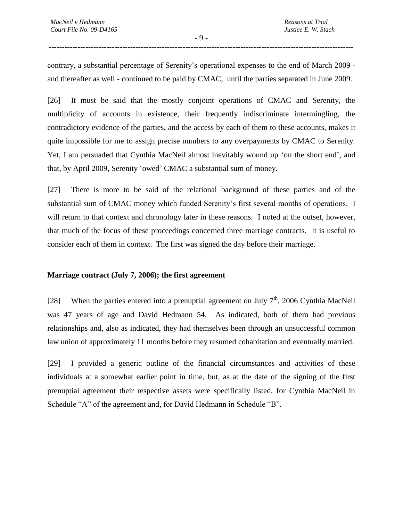contrary, a substantial percentage of Serenity's operational expenses to the end of March 2009 and thereafter as well - continued to be paid by CMAC, until the parties separated in June 2009.

[26] It must be said that the mostly conjoint operations of CMAC and Serenity, the multiplicity of accounts in existence, their frequently indiscriminate intermingling, the contradictory evidence of the parties, and the access by each of them to these accounts, makes it quite impossible for me to assign precise numbers to any overpayments by CMAC to Serenity. Yet, I am persuaded that Cynthia MacNeil almost inevitably wound up 'on the short end', and that, by April 2009, Serenity 'owed' CMAC a substantial sum of money.

[27] There is more to be said of the relational background of these parties and of the substantial sum of CMAC money which funded Serenity's first several months of operations. I will return to that context and chronology later in these reasons. I noted at the outset, however, that much of the focus of these proceedings concerned three marriage contracts. It is useful to consider each of them in context. The first was signed the day before their marriage.

#### **Marriage contract (July 7, 2006); the first agreement**

[28] When the parties entered into a prenuptial agreement on July  $7<sup>th</sup>$ , 2006 Cynthia MacNeil was 47 years of age and David Hedmann 54. As indicated, both of them had previous relationships and, also as indicated, they had themselves been through an unsuccessful common law union of approximately 11 months before they resumed cohabitation and eventually married.

[29] I provided a generic outline of the financial circumstances and activities of these individuals at a somewhat earlier point in time, but, as at the date of the signing of the first prenuptial agreement their respective assets were specifically listed, for Cynthia MacNeil in Schedule "A" of the agreement and, for David Hedmann in Schedule "B".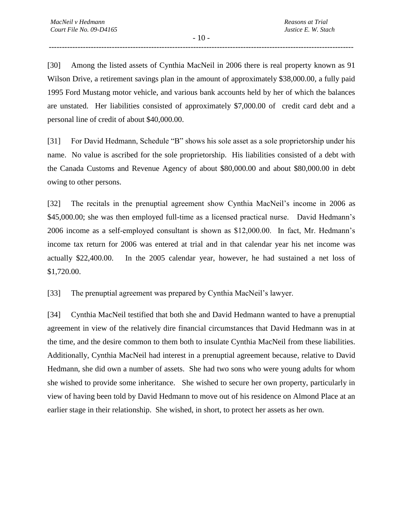- 10 - --------------------------------------------------------------------------------------------------------------------

[30] Among the listed assets of Cynthia MacNeil in 2006 there is real property known as 91 Wilson Drive, a retirement savings plan in the amount of approximately \$38,000.00, a fully paid 1995 Ford Mustang motor vehicle, and various bank accounts held by her of which the balances are unstated. Her liabilities consisted of approximately \$7,000.00 of credit card debt and a personal line of credit of about \$40,000.00.

[31] For David Hedmann, Schedule "B" shows his sole asset as a sole proprietorship under his name. No value is ascribed for the sole proprietorship. His liabilities consisted of a debt with the Canada Customs and Revenue Agency of about \$80,000.00 and about \$80,000.00 in debt owing to other persons.

[32] The recitals in the prenuptial agreement show Cynthia MacNeil's income in 2006 as \$45,000.00; she was then employed full-time as a licensed practical nurse. David Hedmann's 2006 income as a self-employed consultant is shown as \$12,000.00. In fact, Mr. Hedmann's income tax return for 2006 was entered at trial and in that calendar year his net income was actually \$22,400.00. In the 2005 calendar year, however, he had sustained a net loss of \$1,720.00.

[33] The prenuptial agreement was prepared by Cynthia MacNeil's lawyer.

[34] Cynthia MacNeil testified that both she and David Hedmann wanted to have a prenuptial agreement in view of the relatively dire financial circumstances that David Hedmann was in at the time, and the desire common to them both to insulate Cynthia MacNeil from these liabilities. Additionally, Cynthia MacNeil had interest in a prenuptial agreement because, relative to David Hedmann, she did own a number of assets. She had two sons who were young adults for whom she wished to provide some inheritance. She wished to secure her own property, particularly in view of having been told by David Hedmann to move out of his residence on Almond Place at an earlier stage in their relationship. She wished, in short, to protect her assets as her own.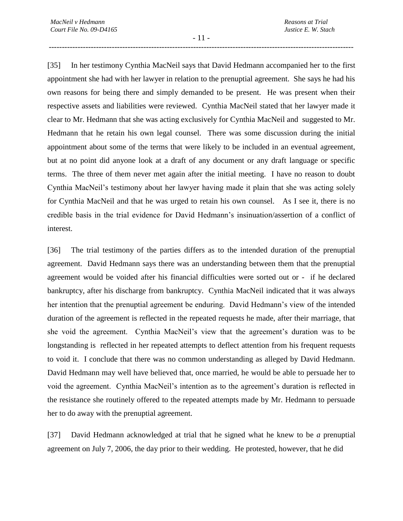- 11 - --------------------------------------------------------------------------------------------------------------------

[35] In her testimony Cynthia MacNeil says that David Hedmann accompanied her to the first appointment she had with her lawyer in relation to the prenuptial agreement. She says he had his own reasons for being there and simply demanded to be present. He was present when their respective assets and liabilities were reviewed. Cynthia MacNeil stated that her lawyer made it clear to Mr. Hedmann that she was acting exclusively for Cynthia MacNeil and suggested to Mr. Hedmann that he retain his own legal counsel. There was some discussion during the initial appointment about some of the terms that were likely to be included in an eventual agreement, but at no point did anyone look at a draft of any document or any draft language or specific terms. The three of them never met again after the initial meeting. I have no reason to doubt Cynthia MacNeil's testimony about her lawyer having made it plain that she was acting solely for Cynthia MacNeil and that he was urged to retain his own counsel. As I see it, there is no credible basis in the trial evidence for David Hedmann's insinuation/assertion of a conflict of interest.

[36] The trial testimony of the parties differs as to the intended duration of the prenuptial agreement. David Hedmann says there was an understanding between them that the prenuptial agreement would be voided after his financial difficulties were sorted out or - if he declared bankruptcy, after his discharge from bankruptcy. Cynthia MacNeil indicated that it was always her intention that the prenuptial agreement be enduring. David Hedmann's view of the intended duration of the agreement is reflected in the repeated requests he made, after their marriage, that she void the agreement. Cynthia MacNeil's view that the agreement's duration was to be longstanding is reflected in her repeated attempts to deflect attention from his frequent requests to void it. I conclude that there was no common understanding as alleged by David Hedmann. David Hedmann may well have believed that, once married, he would be able to persuade her to void the agreement. Cynthia MacNeil's intention as to the agreement's duration is reflected in the resistance she routinely offered to the repeated attempts made by Mr. Hedmann to persuade her to do away with the prenuptial agreement.

[37] David Hedmann acknowledged at trial that he signed what he knew to be *a* prenuptial agreement on July 7, 2006, the day prior to their wedding. He protested, however, that he did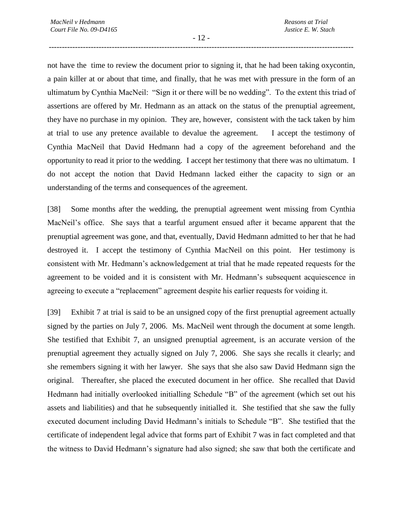- 12 - --------------------------------------------------------------------------------------------------------------------

not have the time to review the document prior to signing it, that he had been taking oxycontin, a pain killer at or about that time, and finally, that he was met with pressure in the form of an ultimatum by Cynthia MacNeil: "Sign it or there will be no wedding". To the extent this triad of assertions are offered by Mr. Hedmann as an attack on the status of the prenuptial agreement, they have no purchase in my opinion. They are, however, consistent with the tack taken by him at trial to use any pretence available to devalue the agreement. I accept the testimony of Cynthia MacNeil that David Hedmann had a copy of the agreement beforehand and the opportunity to read it prior to the wedding. I accept her testimony that there was no ultimatum. I do not accept the notion that David Hedmann lacked either the capacity to sign or an understanding of the terms and consequences of the agreement.

[38] Some months after the wedding, the prenuptial agreement went missing from Cynthia MacNeil's office. She says that a tearful argument ensued after it became apparent that the prenuptial agreement was gone, and that, eventually, David Hedmann admitted to her that he had destroyed it. I accept the testimony of Cynthia MacNeil on this point. Her testimony is consistent with Mr. Hedmann's acknowledgement at trial that he made repeated requests for the agreement to be voided and it is consistent with Mr. Hedmann's subsequent acquiescence in agreeing to execute a "replacement" agreement despite his earlier requests for voiding it.

[39] Exhibit 7 at trial is said to be an unsigned copy of the first prenuptial agreement actually signed by the parties on July 7, 2006. Ms. MacNeil went through the document at some length. She testified that Exhibit 7, an unsigned prenuptial agreement, is an accurate version of the prenuptial agreement they actually signed on July 7, 2006. She says she recalls it clearly; and she remembers signing it with her lawyer. She says that she also saw David Hedmann sign the original. Thereafter, she placed the executed document in her office. She recalled that David Hedmann had initially overlooked initialling Schedule "B" of the agreement (which set out his assets and liabilities) and that he subsequently initialled it. She testified that she saw the fully executed document including David Hedmann's initials to Schedule "B". She testified that the certificate of independent legal advice that forms part of Exhibit 7 was in fact completed and that the witness to David Hedmann's signature had also signed; she saw that both the certificate and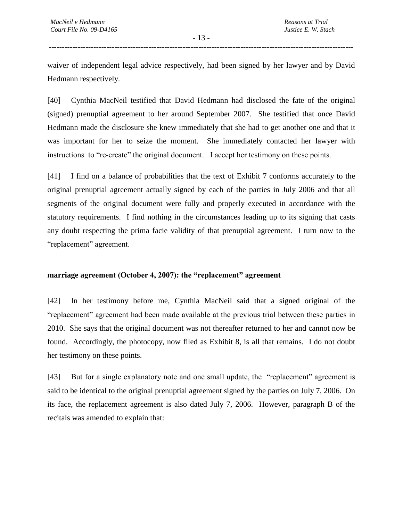- 13 - --------------------------------------------------------------------------------------------------------------------

waiver of independent legal advice respectively, had been signed by her lawyer and by David Hedmann respectively.

[40] Cynthia MacNeil testified that David Hedmann had disclosed the fate of the original (signed) prenuptial agreement to her around September 2007. She testified that once David Hedmann made the disclosure she knew immediately that she had to get another one and that it was important for her to seize the moment. She immediately contacted her lawyer with instructions to "re-create" the original document. I accept her testimony on these points.

[41] I find on a balance of probabilities that the text of Exhibit 7 conforms accurately to the original prenuptial agreement actually signed by each of the parties in July 2006 and that all segments of the original document were fully and properly executed in accordance with the statutory requirements. I find nothing in the circumstances leading up to its signing that casts any doubt respecting the prima facie validity of that prenuptial agreement. I turn now to the "replacement" agreement.

## **marriage agreement (October 4, 2007): the "replacement" agreement**

[42] In her testimony before me, Cynthia MacNeil said that a signed original of the "replacement" agreement had been made available at the previous trial between these parties in 2010. She says that the original document was not thereafter returned to her and cannot now be found. Accordingly, the photocopy, now filed as Exhibit 8, is all that remains. I do not doubt her testimony on these points.

[43] But for a single explanatory note and one small update, the "replacement" agreement is said to be identical to the original prenuptial agreement signed by the parties on July 7, 2006. On its face, the replacement agreement is also dated July 7, 2006. However, paragraph B of the recitals was amended to explain that: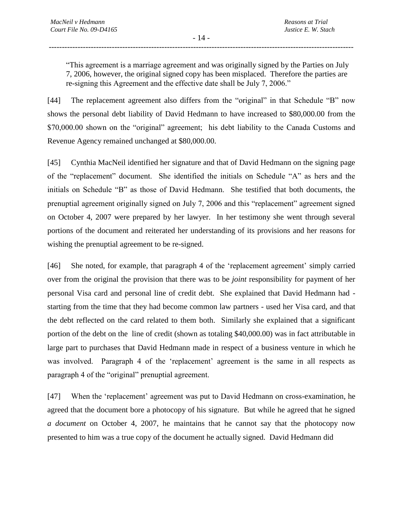- 14 - --------------------------------------------------------------------------------------------------------------------

"This agreement is a marriage agreement and was originally signed by the Parties on July 7, 2006, however, the original signed copy has been misplaced. Therefore the parties are re-signing this Agreement and the effective date shall be July 7, 2006."

[44] The replacement agreement also differs from the "original" in that Schedule "B" now shows the personal debt liability of David Hedmann to have increased to \$80,000.00 from the \$70,000.00 shown on the "original" agreement; his debt liability to the Canada Customs and Revenue Agency remained unchanged at \$80,000.00.

[45] Cynthia MacNeil identified her signature and that of David Hedmann on the signing page of the "replacement" document. She identified the initials on Schedule "A" as hers and the initials on Schedule "B" as those of David Hedmann. She testified that both documents, the prenuptial agreement originally signed on July 7, 2006 and this "replacement" agreement signed on October 4, 2007 were prepared by her lawyer. In her testimony she went through several portions of the document and reiterated her understanding of its provisions and her reasons for wishing the prenuptial agreement to be re-signed.

[46] She noted, for example, that paragraph 4 of the 'replacement agreement' simply carried over from the original the provision that there was to be *joint* responsibility for payment of her personal Visa card and personal line of credit debt. She explained that David Hedmann had starting from the time that they had become common law partners - used her Visa card, and that the debt reflected on the card related to them both. Similarly she explained that a significant portion of the debt on the line of credit (shown as totaling \$40,000.00) was in fact attributable in large part to purchases that David Hedmann made in respect of a business venture in which he was involved. Paragraph 4 of the 'replacement' agreement is the same in all respects as paragraph 4 of the "original" prenuptial agreement.

[47] When the 'replacement' agreement was put to David Hedmann on cross-examination, he agreed that the document bore a photocopy of his signature. But while he agreed that he signed *a document* on October 4, 2007, he maintains that he cannot say that the photocopy now presented to him was a true copy of the document he actually signed. David Hedmann did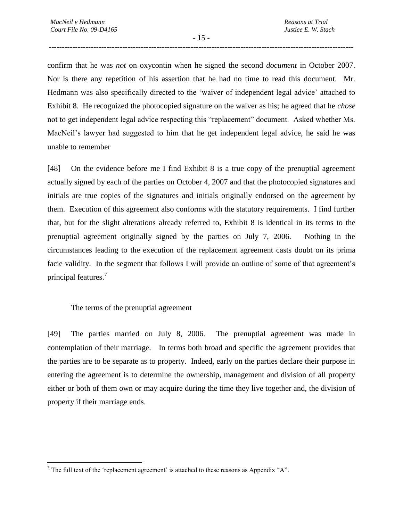- 15 - --------------------------------------------------------------------------------------------------------------------

confirm that he was *not* on oxycontin when he signed the second *document* in October 2007. Nor is there any repetition of his assertion that he had no time to read this document. Mr. Hedmann was also specifically directed to the 'waiver of independent legal advice' attached to Exhibit 8. He recognized the photocopied signature on the waiver as his; he agreed that he *chose* not to get independent legal advice respecting this "replacement" document. Asked whether Ms. MacNeil's lawyer had suggested to him that he get independent legal advice, he said he was unable to remember

[48] On the evidence before me I find Exhibit 8 is a true copy of the prenuptial agreement actually signed by each of the parties on October 4, 2007 and that the photocopied signatures and initials are true copies of the signatures and initials originally endorsed on the agreement by them. Execution of this agreement also conforms with the statutory requirements. I find further that, but for the slight alterations already referred to, Exhibit 8 is identical in its terms to the prenuptial agreement originally signed by the parties on July 7, 2006. Nothing in the circumstances leading to the execution of the replacement agreement casts doubt on its prima facie validity. In the segment that follows I will provide an outline of some of that agreement's principal features.<sup>7</sup>

The terms of the prenuptial agreement

 $\overline{a}$ 

[49] The parties married on July 8, 2006. The prenuptial agreement was made in contemplation of their marriage. In terms both broad and specific the agreement provides that the parties are to be separate as to property. Indeed, early on the parties declare their purpose in entering the agreement is to determine the ownership, management and division of all property either or both of them own or may acquire during the time they live together and, the division of property if their marriage ends.

 $<sup>7</sup>$  The full text of the 'replacement agreement' is attached to these reasons as Appendix "A".</sup>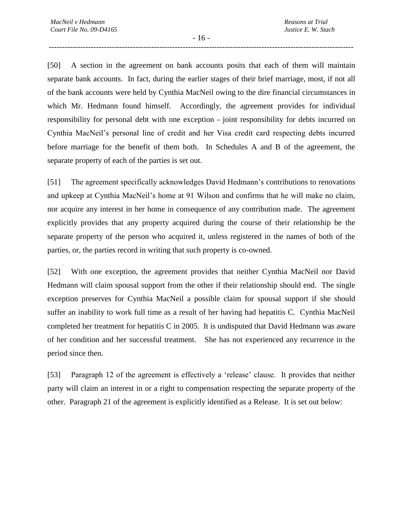- 16 - --------------------------------------------------------------------------------------------------------------------

[50] A section in the agreement on bank accounts posits that each of them will maintain separate bank accounts. In fact, during the earlier stages of their brief marriage, most, if not all of the bank accounts were held by Cynthia MacNeil owing to the dire financial circumstances in which Mr. Hedmann found himself. Accordingly, the agreement provides for individual responsibility for personal debt with one exception - joint responsibility for debts incurred on Cynthia MacNeil's personal line of credit and her Visa credit card respecting debts incurred before marriage for the benefit of them both. In Schedules A and B of the agreement, the separate property of each of the parties is set out.

[51] The agreement specifically acknowledges David Hedmann's contributions to renovations and upkeep at Cynthia MacNeil's home at 91 Wilson and confirms that he will make no claim, nor acquire any interest in her home in consequence of any contribution made. The agreement explicitly provides that any property acquired during the course of their relationship be the separate property of the person who acquired it, unless registered in the names of both of the parties, or, the parties record in writing that such property is co-owned.

[52] With one exception, the agreement provides that neither Cynthia MacNeil nor David Hedmann will claim spousal support from the other if their relationship should end. The single exception preserves for Cynthia MacNeil a possible claim for spousal support if she should suffer an inability to work full time as a result of her having had hepatitis C. Cynthia MacNeil completed her treatment for hepatitis C in 2005. It is undisputed that David Hedmann was aware of her condition and her successful treatment. She has not experienced any recurrence in the period since then.

[53] Paragraph 12 of the agreement is effectively a 'release' clause. It provides that neither party will claim an interest in or a right to compensation respecting the separate property of the other. Paragraph 21 of the agreement is explicitly identified as a Release. It is set out below: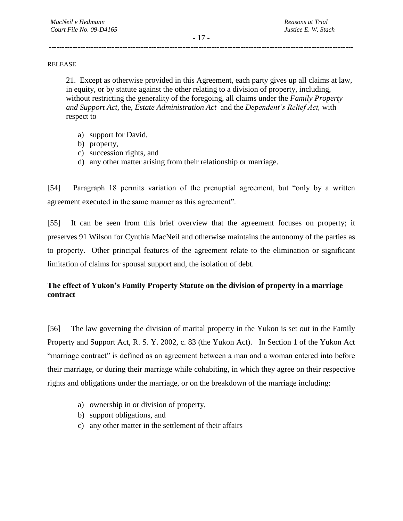#### RELEASE

21. Except as otherwise provided in this Agreement, each party gives up all claims at law, in equity, or by statute against the other relating to a division of property, including, without restricting the generality of the foregoing, all claims under the *Family Property and Support Act,* the, *Estate Administration Act* and the *Dependent's Relief Act,* with respect to

- a) support for David,
- b) property,
- c) succession rights, and
- d) any other matter arising from their relationship or marriage.

[54] Paragraph 18 permits variation of the prenuptial agreement, but "only by a written agreement executed in the same manner as this agreement".

[55] It can be seen from this brief overview that the agreement focuses on property; it preserves 91 Wilson for Cynthia MacNeil and otherwise maintains the autonomy of the parties as to property. Other principal features of the agreement relate to the elimination or significant limitation of claims for spousal support and, the isolation of debt.

# **The effect of Yukon's Family Property Statute on the division of property in a marriage contract**

[56] The law governing the division of marital property in the Yukon is set out in the Family Property and Support Act, R. S. Y. 2002, c. 83 (the Yukon Act). In Section 1 of the Yukon Act "marriage contract" is defined as an agreement between a man and a woman entered into before their marriage, or during their marriage while cohabiting, in which they agree on their respective rights and obligations under the marriage, or on the breakdown of the marriage including:

- a) ownership in or division of property,
- b) support obligations, and
- c) any other matter in the settlement of their affairs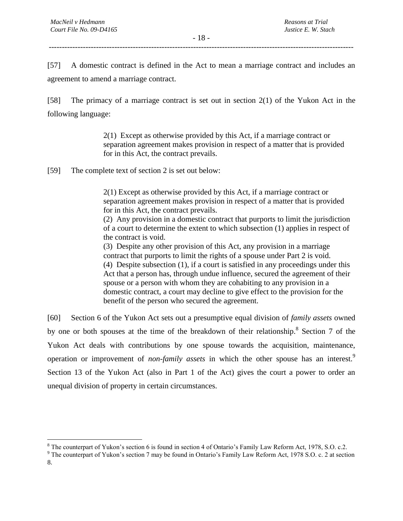$\overline{a}$ 

- 18 - --------------------------------------------------------------------------------------------------------------------

[57] A domestic contract is defined in the Act to mean a marriage contract and includes an agreement to amend a marriage contract.

[58] The primacy of a marriage contract is set out in section 2(1) of the Yukon Act in the following language:

> 2(1) Except as otherwise provided by this Act, if a marriage contract or separation agreement makes provision in respect of a matter that is provided for in this Act, the contract prevails.

[59] The complete text of section 2 is set out below:

2(1) Except as otherwise provided by this Act, if a marriage contract or separation agreement makes provision in respect of a matter that is provided for in this Act, the contract prevails.

(2) Any provision in a domestic contract that purports to limit the jurisdiction of a court to determine the extent to which subsection (1) applies in respect of the contract is void.

(3) Despite any other provision of this Act, any provision in a marriage contract that purports to limit the rights of a spouse under Part 2 is void. (4) Despite subsection (1), if a court is satisfied in any proceedings under this Act that a person has, through undue influence, secured the agreement of their spouse or a person with whom they are cohabiting to any provision in a domestic contract, a court may decline to give effect to the provision for the benefit of the person who secured the agreement.

[60] Section 6 of the Yukon Act sets out a presumptive equal division of *family assets* owned by one or both spouses at the time of the breakdown of their relationship.<sup>8</sup> Section 7 of the Yukon Act deals with contributions by one spouse towards the acquisition, maintenance, operation or improvement of *non-family assets* in which the other spouse has an interest.<sup>9</sup> Section 13 of the Yukon Act (also in Part 1 of the Act) gives the court a power to order an unequal division of property in certain circumstances.

<sup>&</sup>lt;sup>8</sup> The counterpart of Yukon's section 6 is found in section 4 of Ontario's Family Law Reform Act, 1978, S.O. c.2.

<sup>&</sup>lt;sup>9</sup> The counterpart of Yukon's section 7 may be found in Ontario's Family Law Reform Act, 1978 S.O. c. 2 at section 8.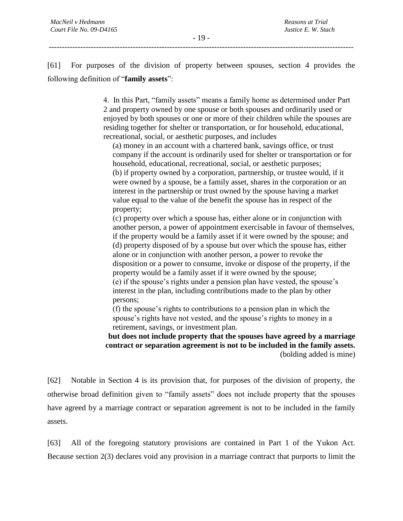--------------------------------------------------------------------------------------------------------------------

[61] For purposes of the division of property between spouses, section 4 provides the following definition of "**family assets**":

> 4. In this Part, "family assets" means a family home as determined under Part 2 and property owned by one spouse or both spouses and ordinarily used or enjoyed by both spouses or one or more of their children while the spouses are residing together for shelter or transportation, or for household, educational, recreational, social, or aesthetic purposes, and includes

(a) money in an account with a chartered bank, savings office, or trust company if the account is ordinarily used for shelter or transportation or for household, educational, recreational, social, or aesthetic purposes; (b) if property owned by a corporation, partnership, or trustee would, if it were owned by a spouse, be a family asset, shares in the corporation or an interest in the partnership or trust owned by the spouse having a market value equal to the value of the benefit the spouse has in respect of the property;

(c) property over which a spouse has, either alone or in conjunction with another person, a power of appointment exercisable in favour of themselves, if the property would be a family asset if it were owned by the spouse; and (d) property disposed of by a spouse but over which the spouse has, either alone or in conjunction with another person, a power to revoke the disposition or a power to consume, invoke or dispose of the property, if the property would be a family asset if it were owned by the spouse; (e) if the spouse's rights under a pension plan have vested, the spouse's interest in the plan, including contributions made to the plan by other persons;

(f) the spouse's rights to contributions to a pension plan in which the spouse's rights have not vested, and the spouse's rights to money in a retirement, savings, or investment plan.

**but does not include property that the spouses have agreed by a marriage contract or separation agreement is not to be included in the family assets.**  (bolding added is mine)

[62] Notable in Section 4 is its provision that, for purposes of the division of property, the otherwise broad definition given to "family assets" does not include property that the spouses have agreed by a marriage contract or separation agreement is not to be included in the family assets.

[63] All of the foregoing statutory provisions are contained in Part 1 of the Yukon Act. Because section 2(3) declares void any provision in a marriage contract that purports to limit the

- 19 -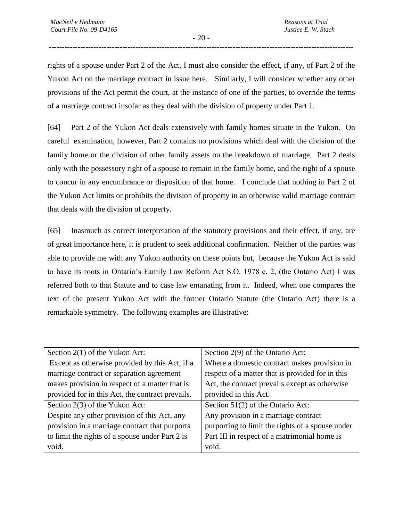- 20 - --------------------------------------------------------------------------------------------------------------------

rights of a spouse under Part 2 of the Act, I must also consider the effect, if any, of Part 2 of the Yukon Act on the marriage contract in issue here. Similarly, I will consider whether any other provisions of the Act permit the court, at the instance of one of the parties, to override the terms of a marriage contract insofar as they deal with the division of property under Part 1.

[64] Part 2 of the Yukon Act deals extensively with family homes situate in the Yukon. On careful examination, however, Part 2 contains no provisions which deal with the division of the family home or the division of other family assets on the breakdown of marriage. Part 2 deals only with the possessory right of a spouse to remain in the family home, and the right of a spouse to concur in any encumbrance or disposition of that home. I conclude that nothing in Part 2 of the Yukon Act limits or prohibits the division of property in an otherwise valid marriage contract that deals with the division of property.

[65] Inasmuch as correct interpretation of the statutory provisions and their effect, if any, are of great importance here, it is prudent to seek additional confirmation. Neither of the parties was able to provide me with any Yukon authority on these points but, because the Yukon Act is said to have its roots in Ontario's Family Law Reform Act S.O. 1978 c. 2, (the Ontario Act) I was referred both to that Statute and to case law emanating from it. Indeed, when one compares the text of the present Yukon Act with the former Ontario Statute (the Ontario Act) there is a remarkable symmetry. The following examples are illustrative:

| Section $2(1)$ of the Yukon Act:                 | Section 2(9) of the Ontario Act:                 |
|--------------------------------------------------|--------------------------------------------------|
| Except as otherwise provided by this Act, if a   | Where a domestic contract makes provision in     |
| marriage contract or separation agreement        | respect of a matter that is provided for in this |
| makes provision in respect of a matter that is   | Act, the contract prevails except as otherwise   |
| provided for in this Act, the contract prevails. | provided in this Act.                            |
| Section $2(3)$ of the Yukon Act:                 | Section $51(2)$ of the Ontario Act:              |
| Despite any other provision of this Act, any     | Any provision in a marriage contract             |
| provision in a marriage contract that purports   | purporting to limit the rights of a spouse under |
| to limit the rights of a spouse under Part 2 is  | Part III in respect of a matrimonial home is     |
| void.                                            | void.                                            |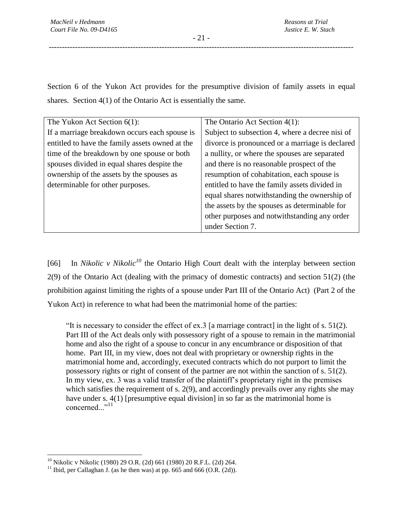Section 6 of the Yukon Act provides for the presumptive division of family assets in equal shares. Section 4(1) of the Ontario Act is essentially the same.

| The Yukon Act Section $6(1)$ :                  | The Ontario Act Section $4(1)$ :                |
|-------------------------------------------------|-------------------------------------------------|
| If a marriage breakdown occurs each spouse is   | Subject to subsection 4, where a decree nisi of |
| entitled to have the family assets owned at the | divorce is pronounced or a marriage is declared |
| time of the breakdown by one spouse or both     | a nullity, or where the spouses are separated   |
| spouses divided in equal shares despite the     | and there is no reasonable prospect of the      |
| ownership of the assets by the spouses as       | resumption of cohabitation, each spouse is      |
| determinable for other purposes.                | entitled to have the family assets divided in   |
|                                                 | equal shares notwithstanding the ownership of   |
|                                                 | the assets by the spouses as determinable for   |
|                                                 | other purposes and notwithstanding any order    |
|                                                 | under Section 7.                                |

[66] In *Nikolic v Nikolic<sup>10</sup>* the Ontario High Court dealt with the interplay between section 2(9) of the Ontario Act (dealing with the primacy of domestic contracts) and section 51(2) (the prohibition against limiting the rights of a spouse under Part III of the Ontario Act) (Part 2 of the Yukon Act) in reference to what had been the matrimonial home of the parties:

"It is necessary to consider the effect of ex.3 [a marriage contract] in the light of s. 51(2). Part III of the Act deals only with possessory right of a spouse to remain in the matrimonial home and also the right of a spouse to concur in any encumbrance or disposition of that home. Part III, in my view, does not deal with proprietary or ownership rights in the matrimonial home and, accordingly, executed contracts which do not purport to limit the possessory rights or right of consent of the partner are not within the sanction of s. 51(2). In my view, ex. 3 was a valid transfer of the plaintiff's proprietary right in the premises which satisfies the requirement of s. 2(9), and accordingly prevails over any rights she may have under s. 4(1) [presumptive equal division] in so far as the matrimonial home is concerned..."<sup>11</sup>

 $\overline{a}$ 

<sup>&</sup>lt;sup>10</sup> Nikolic v Nikolic (1980) 29 O.R. (2d) 661 (1980) 20 R.F.L. (2d) 264.

<sup>&</sup>lt;sup>11</sup> Ibid, per Callaghan J. (as he then was) at pp. 665 and 666 (O.R. (2d)).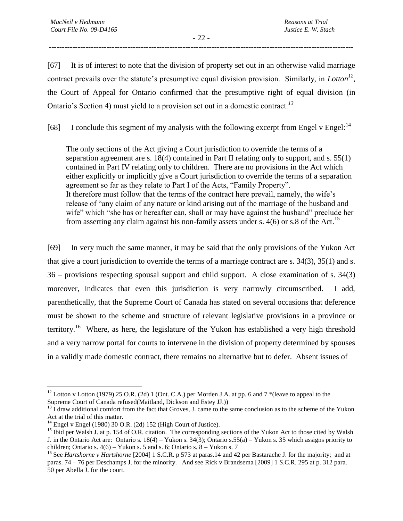- 22 - --------------------------------------------------------------------------------------------------------------------

[67] It is of interest to note that the division of property set out in an otherwise valid marriage contract prevails over the statute's presumptive equal division provision. Similarly, in *Lotton<sup>12</sup> ,* the Court of Appeal for Ontario confirmed that the presumptive right of equal division (in Ontario's Section 4) must yield to a provision set out in a domestic contract.*<sup>13</sup>*

[68] I conclude this segment of my analysis with the following excerpt from Engel v Engel:<sup>14</sup>

The only sections of the Act giving a Court jurisdiction to override the terms of a separation agreement are s. 18(4) contained in Part II relating only to support, and s. 55(1) contained in Part IV relating only to children. There are no provisions in the Act which either explicitly or implicitly give a Court jurisdiction to override the terms of a separation agreement so far as they relate to Part I of the Acts, "Family Property". It therefore must follow that the terms of the contract here prevail, namely, the wife's release of "any claim of any nature or kind arising out of the marriage of the husband and wife" which "she has or hereafter can, shall or may have against the husband" preclude her from asserting any claim against his non-family assets under s.  $4(6)$  or s.8 of the Act.<sup>15</sup>

[69] In very much the same manner, it may be said that the only provisions of the Yukon Act that give a court jurisdiction to override the terms of a marriage contract are s. 34(3), 35(1) and s. 36 – provisions respecting spousal support and child support. A close examination of s. 34(3) moreover, indicates that even this jurisdiction is very narrowly circumscribed. I add, parenthetically, that the Supreme Court of Canada has stated on several occasions that deference must be shown to the scheme and structure of relevant legislative provisions in a province or territory.<sup>16</sup> Where, as here, the legislature of the Yukon has established a very high threshold and a very narrow portal for courts to intervene in the division of property determined by spouses in a validly made domestic contract, there remains no alternative but to defer. Absent issues of

 $\overline{a}$ <sup>12</sup> Lotton v Lotton (1979) 25 O.R. (2d) 1 (Ont. C.A.) per Morden J.A. at pp. 6 and 7 \*(leave to appeal to the Supreme Court of Canada refused(Maitland, Dickson and Estey JJ.))

 $^{13}$  I draw additional comfort from the fact that Groves, J. came to the same conclusion as to the scheme of the Yukon Act at the trial of this matter.

 $^{14}$  Engel v Engel (1980) 30 O.R. (2d) 152 (High Court of Justice).

<sup>&</sup>lt;sup>15</sup> Ibid per Walsh J. at p. 154 of O.R. citation. The corresponding sections of the Yukon Act to those cited by Walsh J. in the Ontario Act are: Ontario s. 18(4) – Yukon s. 34(3); Ontario s.55(a) – Yukon s. 35 which assigns priority to children; Ontario s.  $4(6)$  – Yukon s. 5 and s. 6; Ontario s.  $8$  – Yukon s. 7

<sup>&</sup>lt;sup>16</sup> See *Hartshorne v Hartshorne* [2004] 1 S.C.R. p 573 at paras.14 and 42 per Bastarache J. for the majority; and at paras. 74 – 76 per Deschamps J. for the minority. And see Rick v Brandsema [2009] 1 S.C.R. 295 at p. 312 para. 50 per Abella J. for the court.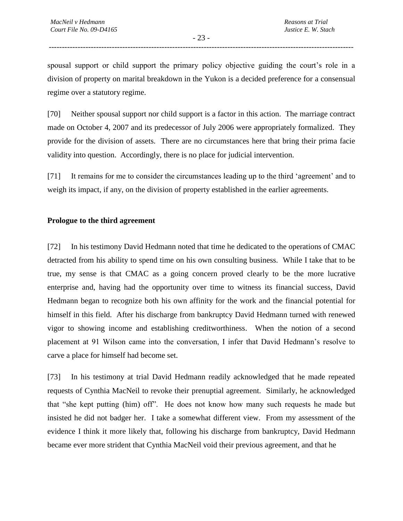- 23 - --------------------------------------------------------------------------------------------------------------------

spousal support or child support the primary policy objective guiding the court's role in a division of property on marital breakdown in the Yukon is a decided preference for a consensual regime over a statutory regime.

[70] Neither spousal support nor child support is a factor in this action. The marriage contract made on October 4, 2007 and its predecessor of July 2006 were appropriately formalized. They provide for the division of assets. There are no circumstances here that bring their prima facie validity into question. Accordingly, there is no place for judicial intervention.

[71] It remains for me to consider the circumstances leading up to the third 'agreement' and to weigh its impact, if any, on the division of property established in the earlier agreements.

#### **Prologue to the third agreement**

[72] In his testimony David Hedmann noted that time he dedicated to the operations of CMAC detracted from his ability to spend time on his own consulting business. While I take that to be true, my sense is that CMAC as a going concern proved clearly to be the more lucrative enterprise and, having had the opportunity over time to witness its financial success, David Hedmann began to recognize both his own affinity for the work and the financial potential for himself in this field. After his discharge from bankruptcy David Hedmann turned with renewed vigor to showing income and establishing creditworthiness. When the notion of a second placement at 91 Wilson came into the conversation, I infer that David Hedmann's resolve to carve a place for himself had become set.

[73] In his testimony at trial David Hedmann readily acknowledged that he made repeated requests of Cynthia MacNeil to revoke their prenuptial agreement. Similarly, he acknowledged that "she kept putting (him) off". He does not know how many such requests he made but insisted he did not badger her. I take a somewhat different view. From my assessment of the evidence I think it more likely that, following his discharge from bankruptcy, David Hedmann became ever more strident that Cynthia MacNeil void their previous agreement, and that he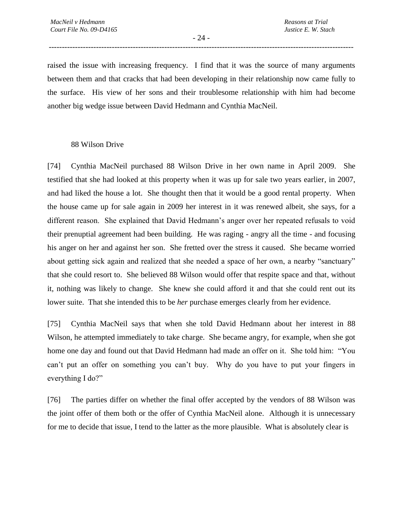- 24 - --------------------------------------------------------------------------------------------------------------------

raised the issue with increasing frequency. I find that it was the source of many arguments between them and that cracks that had been developing in their relationship now came fully to the surface. His view of her sons and their troublesome relationship with him had become another big wedge issue between David Hedmann and Cynthia MacNeil.

#### 88 Wilson Drive

[74] Cynthia MacNeil purchased 88 Wilson Drive in her own name in April 2009. She testified that she had looked at this property when it was up for sale two years earlier, in 2007, and had liked the house a lot. She thought then that it would be a good rental property. When the house came up for sale again in 2009 her interest in it was renewed albeit, she says, for a different reason. She explained that David Hedmann's anger over her repeated refusals to void their prenuptial agreement had been building. He was raging - angry all the time - and focusing his anger on her and against her son. She fretted over the stress it caused. She became worried about getting sick again and realized that she needed a space of her own, a nearby "sanctuary" that she could resort to. She believed 88 Wilson would offer that respite space and that, without it, nothing was likely to change. She knew she could afford it and that she could rent out its lower suite. That she intended this to be *her* purchase emerges clearly from her evidence.

[75] Cynthia MacNeil says that when she told David Hedmann about her interest in 88 Wilson, he attempted immediately to take charge. She became angry, for example, when she got home one day and found out that David Hedmann had made an offer on it. She told him: "You can't put an offer on something you can't buy. Why do you have to put your fingers in everything I do?"

[76] The parties differ on whether the final offer accepted by the vendors of 88 Wilson was the joint offer of them both or the offer of Cynthia MacNeil alone. Although it is unnecessary for me to decide that issue, I tend to the latter as the more plausible. What is absolutely clear is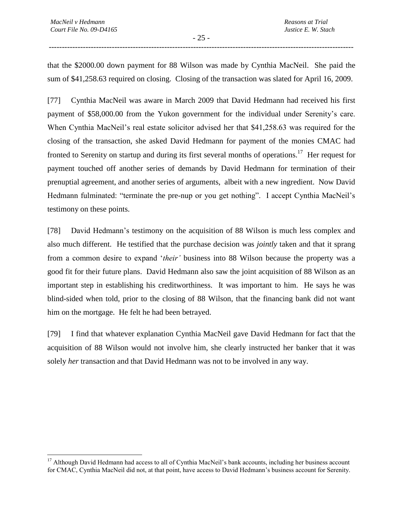$\overline{a}$ 

that the \$2000.00 down payment for 88 Wilson was made by Cynthia MacNeil. She paid the sum of \$41,258.63 required on closing. Closing of the transaction was slated for April 16, 2009.

[77] Cynthia MacNeil was aware in March 2009 that David Hedmann had received his first payment of \$58,000.00 from the Yukon government for the individual under Serenity's care. When Cynthia MacNeil's real estate solicitor advised her that \$41,258.63 was required for the closing of the transaction, she asked David Hedmann for payment of the monies CMAC had fronted to Serenity on startup and during its first several months of operations.<sup>17</sup> Her request for payment touched off another series of demands by David Hedmann for termination of their prenuptial agreement, and another series of arguments, albeit with a new ingredient. Now David Hedmann fulminated: "terminate the pre-nup or you get nothing". I accept Cynthia MacNeil's testimony on these points.

[78] David Hedmann's testimony on the acquisition of 88 Wilson is much less complex and also much different. He testified that the purchase decision was *jointly* taken and that it sprang from a common desire to expand '*their'* business into 88 Wilson because the property was a good fit for their future plans. David Hedmann also saw the joint acquisition of 88 Wilson as an important step in establishing his creditworthiness. It was important to him. He says he was blind-sided when told, prior to the closing of 88 Wilson, that the financing bank did not want him on the mortgage. He felt he had been betrayed.

[79] I find that whatever explanation Cynthia MacNeil gave David Hedmann for fact that the acquisition of 88 Wilson would not involve him, she clearly instructed her banker that it was solely *her* transaction and that David Hedmann was not to be involved in any way.

<sup>&</sup>lt;sup>17</sup> Although David Hedmann had access to all of Cynthia MacNeil's bank accounts, including her business account for CMAC, Cynthia MacNeil did not, at that point, have access to David Hedmann's business account for Serenity.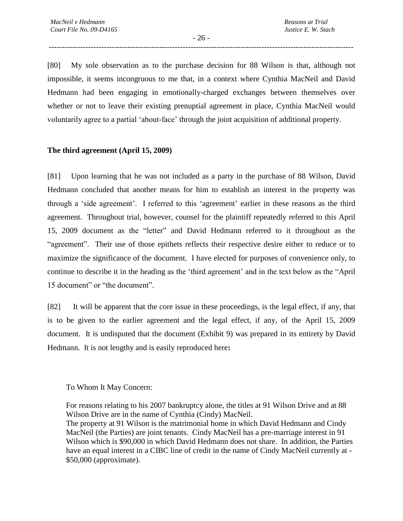- 26 - --------------------------------------------------------------------------------------------------------------------

[80] My sole observation as to the purchase decision for 88 Wilson is that, although not impossible, it seems incongruous to me that, in a context where Cynthia MacNeil and David Hedmann had been engaging in emotionally-charged exchanges between themselves over whether or not to leave their existing prenuptial agreement in place, Cynthia MacNeil would voluntarily agree to a partial 'about-face' through the joint acquisition of additional property.

## **The third agreement (April 15, 2009)**

[81] Upon learning that he was not included as a party in the purchase of 88 Wilson, David Hedmann concluded that another means for him to establish an interest in the property was through a 'side agreement'. I referred to this 'agreement' earlier in these reasons as the third agreement. Throughout trial, however, counsel for the plaintiff repeatedly referred to this April 15, 2009 document as the "letter" and David Hedmann referred to it throughout as the "agreement". Their use of those epithets reflects their respective desire either to reduce or to maximize the significance of the document. I have elected for purposes of convenience only, to continue to describe it in the heading as the 'third agreement' and in the text below as the "April 15 document" or "the document".

[82] It will be apparent that the core issue in these proceedings, is the legal effect, if any, that is to be given to the earlier agreement and the legal effect, if any, of the April 15, 2009 document. It is undisputed that the document (Exhibit 9) was prepared in its entirety by David Hedmann. It is not lengthy and is easily reproduced here**:** 

To Whom It May Concern:

For reasons relating to his 2007 bankruptcy alone, the titles at 91 Wilson Drive and at 88 Wilson Drive are in the name of Cynthia (Cindy) MacNeil. The property at 91 Wilson is the matrimonial home in which David Hedmann and Cindy MacNeil (the Parties) are joint tenants. Cindy MacNeil has a pre-marriage interest in 91 Wilson which is \$90,000 in which David Hedmann does not share. In addition, the Parties have an equal interest in a CIBC line of credit in the name of Cindy MacNeil currently at - \$50,000 (approximate).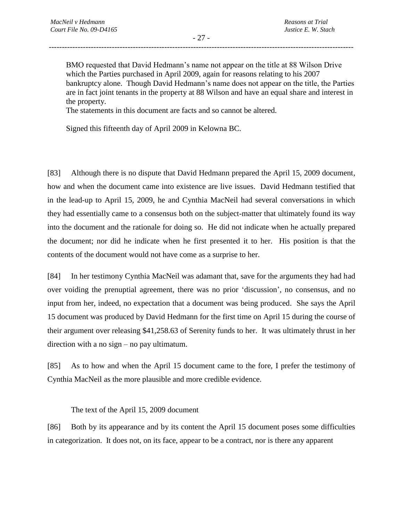BMO requested that David Hedmann's name not appear on the title at 88 Wilson Drive which the Parties purchased in April 2009, again for reasons relating to his 2007 bankruptcy alone. Though David Hedmann's name does not appear on the title, the Parties are in fact joint tenants in the property at 88 Wilson and have an equal share and interest in the property.

The statements in this document are facts and so cannot be altered.

Signed this fifteenth day of April 2009 in Kelowna BC.

[83] Although there is no dispute that David Hedmann prepared the April 15, 2009 document, how and when the document came into existence are live issues. David Hedmann testified that in the lead-up to April 15, 2009, he and Cynthia MacNeil had several conversations in which they had essentially came to a consensus both on the subject-matter that ultimately found its way into the document and the rationale for doing so. He did not indicate when he actually prepared the document; nor did he indicate when he first presented it to her. His position is that the contents of the document would not have come as a surprise to her.

[84] In her testimony Cynthia MacNeil was adamant that, save for the arguments they had had over voiding the prenuptial agreement, there was no prior 'discussion', no consensus, and no input from her, indeed, no expectation that a document was being produced. She says the April 15 document was produced by David Hedmann for the first time on April 15 during the course of their argument over releasing \$41,258.63 of Serenity funds to her. It was ultimately thrust in her direction with a no sign – no pay ultimatum.

[85] As to how and when the April 15 document came to the fore, I prefer the testimony of Cynthia MacNeil as the more plausible and more credible evidence.

The text of the April 15, 2009 document

[86] Both by its appearance and by its content the April 15 document poses some difficulties in categorization. It does not, on its face, appear to be a contract, nor is there any apparent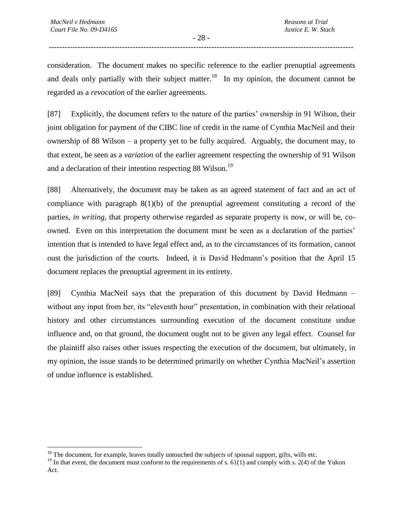- 28 - --------------------------------------------------------------------------------------------------------------------

consideration. The document makes no specific reference to the earlier prenuptial agreements and deals only partially with their subject matter.<sup>18</sup> In my opinion, the document cannot be regarded as a *revocation* of the earlier agreements.

[87] Explicitly, the document refers to the nature of the parties' ownership in 91 Wilson, their joint obligation for payment of the CIBC line of credit in the name of Cynthia MacNeil and their ownership of 88 Wilson – a property yet to be fully acquired. Arguably, the document may, to that extent, be seen as a *variation* of the earlier agreement respecting the ownership of 91 Wilson and a declaration of their intention respecting 88 Wilson.<sup>19</sup>

[88] Alternatively, the document may be taken as an agreed statement of fact and an act of compliance with paragraph  $8(1)(b)$  of the prenuptial agreement constituting a record of the parties, *in writing*, that property otherwise regarded as separate property is now, or will be, coowned. Even on this interpretation the document must be seen as a declaration of the parties' intention that is intended to have legal effect and, as to the circumstances of its formation, cannot oust the jurisdiction of the courts. Indeed, it is David Hedmann's position that the April 15 document replaces the prenuptial agreement in its entirety.

[89] Cynthia MacNeil says that the preparation of this document by David Hedmann – without any input from her, its "eleventh hour" presentation, in combination with their relational history and other circumstances surrounding execution of the document constitute undue influence and, on that ground, the document ought not to be given any legal effect. Counsel for the plaintiff also raises other issues respecting the execution of the document, but ultimately, in my opinion, the issue stands to be determined primarily on whether Cynthia MacNeil's assertion of undue influence is established.

 $\overline{a}$  $18$  The document, for example, leaves totally untouched the subjects of spousal support, gifts, wills etc.

<sup>&</sup>lt;sup>19</sup> In that event, the document must conform to the requirements of s.  $61(1)$  and comply with s. 2(4) of the Yukon Act.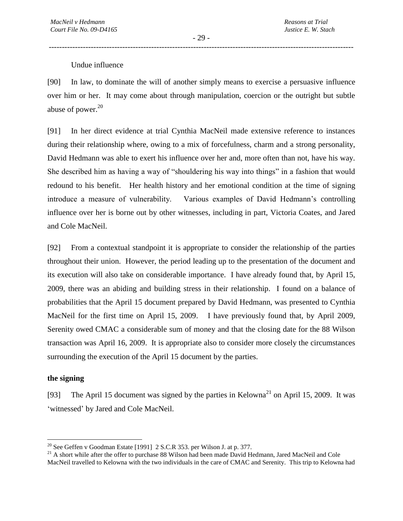### Undue influence

[90] In law, to dominate the will of another simply means to exercise a persuasive influence over him or her. It may come about through manipulation, coercion or the outright but subtle abuse of power. $20$ 

[91] In her direct evidence at trial Cynthia MacNeil made extensive reference to instances during their relationship where, owing to a mix of forcefulness, charm and a strong personality, David Hedmann was able to exert his influence over her and, more often than not, have his way. She described him as having a way of "shouldering his way into things" in a fashion that would redound to his benefit. Her health history and her emotional condition at the time of signing introduce a measure of vulnerability. Various examples of David Hedmann's controlling influence over her is borne out by other witnesses, including in part, Victoria Coates, and Jared and Cole MacNeil.

[92] From a contextual standpoint it is appropriate to consider the relationship of the parties throughout their union. However, the period leading up to the presentation of the document and its execution will also take on considerable importance. I have already found that, by April 15, 2009, there was an abiding and building stress in their relationship. I found on a balance of probabilities that the April 15 document prepared by David Hedmann, was presented to Cynthia MacNeil for the first time on April 15, 2009. I have previously found that, by April 2009, Serenity owed CMAC a considerable sum of money and that the closing date for the 88 Wilson transaction was April 16, 2009. It is appropriate also to consider more closely the circumstances surrounding the execution of the April 15 document by the parties.

#### **the signing**

 $\overline{a}$ 

[93] The April 15 document was signed by the parties in Kelowna<sup>21</sup> on April 15, 2009. It was 'witnessed' by Jared and Cole MacNeil.

<sup>&</sup>lt;sup>20</sup> See Geffen v Goodman Estate [1991] 2 S.C.R 353. per Wilson J. at p. 377.

<sup>&</sup>lt;sup>21</sup> A short while after the offer to purchase 88 Wilson had been made David Hedmann, Jared MacNeil and Cole MacNeil travelled to Kelowna with the two individuals in the care of CMAC and Serenity. This trip to Kelowna had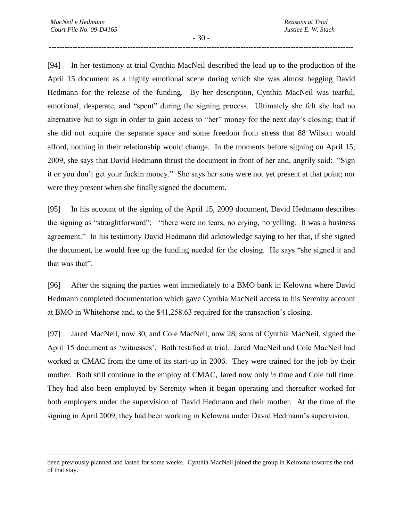$\overline{a}$ 

- 30 - --------------------------------------------------------------------------------------------------------------------

[94] In her testimony at trial Cynthia MacNeil described the lead up to the production of the April 15 document as a highly emotional scene during which she was almost begging David Hedmann for the release of the funding. By her description, Cynthia MacNeil was tearful, emotional, desperate, and "spent" during the signing process. Ultimately she felt she had no alternative but to sign in order to gain access to "her" money for the next day's closing; that if she did not acquire the separate space and some freedom from stress that 88 Wilson would afford, nothing in their relationship would change. In the moments before signing on April 15, 2009, she says that David Hedmann thrust the document in front of her and, angrily said: "Sign it or you don't get your fuckin money." She says her sons were not yet present at that point; nor were they present when she finally signed the document.

[95] In his account of the signing of the April 15, 2009 document, David Hedmann describes the signing as "straightforward": "there were no tears, no crying, no yelling. It was a business agreement." In his testimony David Hedmann did acknowledge saying to her that, if she signed the document, he would free up the funding needed for the closing. He says "she signed it and that was that".

[96] After the signing the parties went immediately to a BMO bank in Kelowna where David Hedmann completed documentation which gave Cynthia MacNeil access to his Serenity account at BMO in Whitehorse and, to the \$41,258.63 required for the transaction's closing.

[97] Jared MacNeil, now 30, and Cole MacNeil, now 28, sons of Cynthia MacNeil, signed the April 15 document as 'witnesses'. Both testified at trial. Jared MacNeil and Cole MacNeil had worked at CMAC from the time of its start-up in 2006. They were trained for the job by their mother. Both still continue in the employ of CMAC, Jared now only  $\frac{1}{2}$  time and Cole full time. They had also been employed by Serenity when it began operating and thereafter worked for both employers under the supervision of David Hedmann and their mother. At the time of the signing in April 2009, they had been working in Kelowna under David Hedmann's supervision.

been previously planned and lasted for some weeks. Cynthia MacNeil joined the group in Kelowna towards the end of that stay.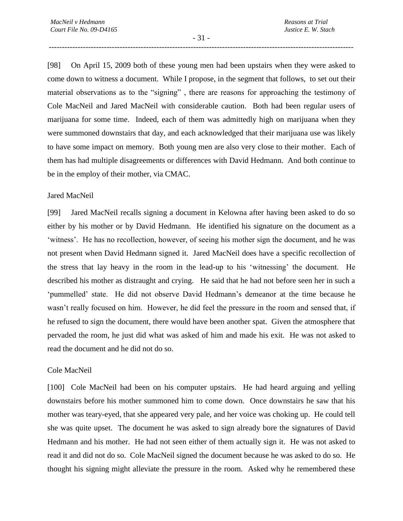- 31 - --------------------------------------------------------------------------------------------------------------------

[98] On April 15, 2009 both of these young men had been upstairs when they were asked to come down to witness a document. While I propose, in the segment that follows, to set out their material observations as to the "signing" , there are reasons for approaching the testimony of Cole MacNeil and Jared MacNeil with considerable caution. Both had been regular users of marijuana for some time. Indeed, each of them was admittedly high on marijuana when they were summoned downstairs that day, and each acknowledged that their marijuana use was likely to have some impact on memory. Both young men are also very close to their mother. Each of them has had multiple disagreements or differences with David Hedmann. And both continue to be in the employ of their mother, via CMAC.

#### Jared MacNeil

[99] Jared MacNeil recalls signing a document in Kelowna after having been asked to do so either by his mother or by David Hedmann. He identified his signature on the document as a 'witness'. He has no recollection, however, of seeing his mother sign the document, and he was not present when David Hedmann signed it. Jared MacNeil does have a specific recollection of the stress that lay heavy in the room in the lead-up to his 'witnessing' the document. He described his mother as distraught and crying. He said that he had not before seen her in such a 'pummelled' state. He did not observe David Hedmann's demeanor at the time because he wasn't really focused on him. However, he did feel the pressure in the room and sensed that, if he refused to sign the document, there would have been another spat. Given the atmosphere that pervaded the room, he just did what was asked of him and made his exit. He was not asked to read the document and he did not do so.

#### Cole MacNeil

[100] Cole MacNeil had been on his computer upstairs. He had heard arguing and yelling downstairs before his mother summoned him to come down. Once downstairs he saw that his mother was teary-eyed, that she appeared very pale, and her voice was choking up. He could tell she was quite upset. The document he was asked to sign already bore the signatures of David Hedmann and his mother. He had not seen either of them actually sign it. He was not asked to read it and did not do so. Cole MacNeil signed the document because he was asked to do so. He thought his signing might alleviate the pressure in the room. Asked why he remembered these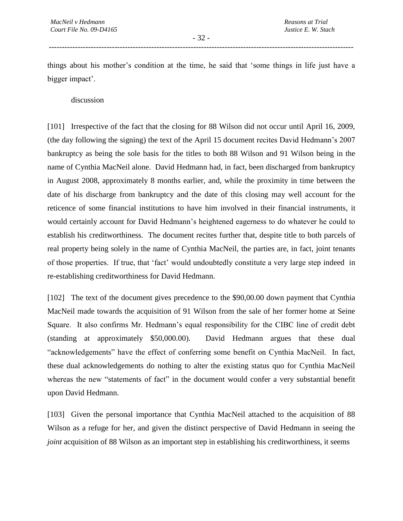- 32 - --------------------------------------------------------------------------------------------------------------------

things about his mother's condition at the time, he said that 'some things in life just have a bigger impact'.

discussion

[101] Irrespective of the fact that the closing for 88 Wilson did not occur until April 16, 2009, (the day following the signing) the text of the April 15 document recites David Hedmann's 2007 bankruptcy as being the sole basis for the titles to both 88 Wilson and 91 Wilson being in the name of Cynthia MacNeil alone. David Hedmann had, in fact, been discharged from bankruptcy in August 2008, approximately 8 months earlier, and, while the proximity in time between the date of his discharge from bankruptcy and the date of this closing may well account for the reticence of some financial institutions to have him involved in their financial instruments, it would certainly account for David Hedmann's heightened eagerness to do whatever he could to establish his creditworthiness. The document recites further that, despite title to both parcels of real property being solely in the name of Cynthia MacNeil, the parties are, in fact, joint tenants of those properties. If true, that 'fact' would undoubtedly constitute a very large step indeed in re-establishing creditworthiness for David Hedmann.

[102] The text of the document gives precedence to the \$90,00.00 down payment that Cynthia MacNeil made towards the acquisition of 91 Wilson from the sale of her former home at Seine Square. It also confirms Mr. Hedmann's equal responsibility for the CIBC line of credit debt (standing at approximately \$50,000.00). David Hedmann argues that these dual "acknowledgements" have the effect of conferring some benefit on Cynthia MacNeil. In fact, these dual acknowledgements do nothing to alter the existing status quo for Cynthia MacNeil whereas the new "statements of fact" in the document would confer a very substantial benefit upon David Hedmann.

[103] Given the personal importance that Cynthia MacNeil attached to the acquisition of 88 Wilson as a refuge for her, and given the distinct perspective of David Hedmann in seeing the *joint* acquisition of 88 Wilson as an important step in establishing his creditworthiness, it seems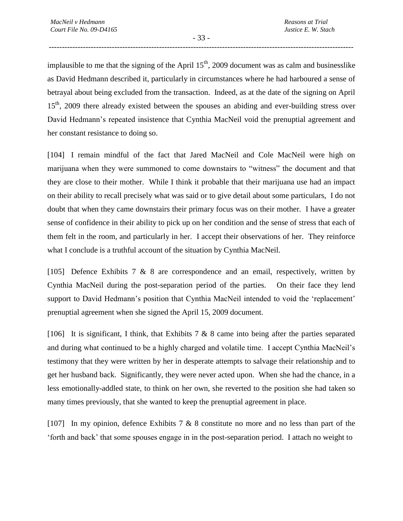- 33 - --------------------------------------------------------------------------------------------------------------------

implausible to me that the signing of the April  $15<sup>th</sup>$ , 2009 document was as calm and businesslike as David Hedmann described it, particularly in circumstances where he had harboured a sense of betrayal about being excluded from the transaction. Indeed, as at the date of the signing on April 15<sup>th</sup>, 2009 there already existed between the spouses an abiding and ever-building stress over David Hedmann's repeated insistence that Cynthia MacNeil void the prenuptial agreement and her constant resistance to doing so.

[104] I remain mindful of the fact that Jared MacNeil and Cole MacNeil were high on marijuana when they were summoned to come downstairs to "witness" the document and that they are close to their mother. While I think it probable that their marijuana use had an impact on their ability to recall precisely what was said or to give detail about some particulars, I do not doubt that when they came downstairs their primary focus was on their mother. I have a greater sense of confidence in their ability to pick up on her condition and the sense of stress that each of them felt in the room, and particularly in her. I accept their observations of her. They reinforce what I conclude is a truthful account of the situation by Cynthia MacNeil.

[105] Defence Exhibits 7  $\&$  8 are correspondence and an email, respectively, written by Cynthia MacNeil during the post-separation period of the parties. On their face they lend support to David Hedmann's position that Cynthia MacNeil intended to void the 'replacement' prenuptial agreement when she signed the April 15, 2009 document.

[106] It is significant, I think, that Exhibits 7  $\&$  8 came into being after the parties separated and during what continued to be a highly charged and volatile time. I accept Cynthia MacNeil's testimony that they were written by her in desperate attempts to salvage their relationship and to get her husband back. Significantly, they were never acted upon. When she had the chance, in a less emotionally-addled state, to think on her own, she reverted to the position she had taken so many times previously, that she wanted to keep the prenuptial agreement in place.

[107] In my opinion, defence Exhibits 7 & 8 constitute no more and no less than part of the 'forth and back' that some spouses engage in in the post-separation period. I attach no weight to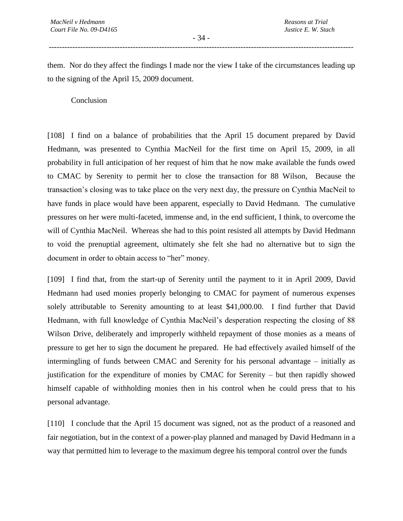- 34 - --------------------------------------------------------------------------------------------------------------------

them. Nor do they affect the findings I made nor the view I take of the circumstances leading up to the signing of the April 15, 2009 document.

Conclusion

[108] I find on a balance of probabilities that the April 15 document prepared by David Hedmann, was presented to Cynthia MacNeil for the first time on April 15, 2009, in all probability in full anticipation of her request of him that he now make available the funds owed to CMAC by Serenity to permit her to close the transaction for 88 Wilson, Because the transaction's closing was to take place on the very next day, the pressure on Cynthia MacNeil to have funds in place would have been apparent, especially to David Hedmann. The cumulative pressures on her were multi-faceted, immense and, in the end sufficient, I think, to overcome the will of Cynthia MacNeil. Whereas she had to this point resisted all attempts by David Hedmann to void the prenuptial agreement, ultimately she felt she had no alternative but to sign the document in order to obtain access to "her" money.

[109] I find that, from the start-up of Serenity until the payment to it in April 2009, David Hedmann had used monies properly belonging to CMAC for payment of numerous expenses solely attributable to Serenity amounting to at least \$41,000.00. I find further that David Hedmann, with full knowledge of Cynthia MacNeil's desperation respecting the closing of 88 Wilson Drive, deliberately and improperly withheld repayment of those monies as a means of pressure to get her to sign the document he prepared. He had effectively availed himself of the intermingling of funds between CMAC and Serenity for his personal advantage – initially as justification for the expenditure of monies by CMAC for Serenity – but then rapidly showed himself capable of withholding monies then in his control when he could press that to his personal advantage.

[110] I conclude that the April 15 document was signed, not as the product of a reasoned and fair negotiation, but in the context of a power-play planned and managed by David Hedmann in a way that permitted him to leverage to the maximum degree his temporal control over the funds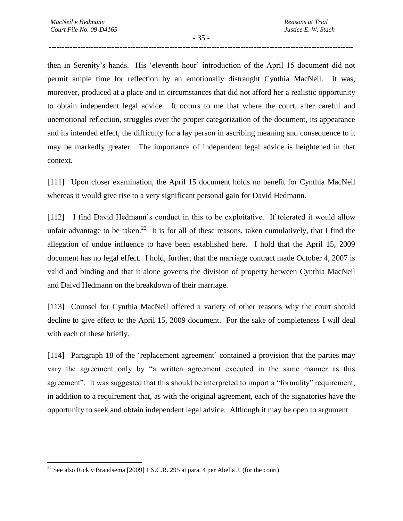- 35 - --------------------------------------------------------------------------------------------------------------------

then in Serenity's hands. His 'eleventh hour' introduction of the April 15 document did not permit ample time for reflection by an emotionally distraught Cynthia MacNeil. It was, moreover, produced at a place and in circumstances that did not afford her a realistic opportunity to obtain independent legal advice. It occurs to me that where the court, after careful and unemotional reflection, struggles over the proper categorization of the document, its appearance and its intended effect, the difficulty for a lay person in ascribing meaning and consequence to it may be markedly greater. The importance of independent legal advice is heightened in that context.

[111] Upon closer examination, the April 15 document holds no benefit for Cynthia MacNeil whereas it would give rise to a very significant personal gain for David Hedmann.

[112] I find David Hedmann's conduct in this to be exploitative. If tolerated it would allow unfair advantage to be taken.<sup>22</sup> It is for all of these reasons, taken cumulatively, that I find the allegation of undue influence to have been established here. I hold that the April 15, 2009 document has no legal effect. I hold, further, that the marriage contract made October 4, 2007 is valid and binding and that it alone governs the division of property between Cynthia MacNeil and Daivd Hedmann on the breakdown of their marriage.

[113] Counsel for Cynthia MacNeil offered a variety of other reasons why the court should decline to give effect to the April 15, 2009 document. For the sake of completeness I will deal with each of these briefly.

[114] Paragraph 18 of the 'replacement agreement' contained a provision that the parties may vary the agreement only by "a written agreement executed in the same manner as this agreement". It was suggested that this should be interpreted to import a "formality" requirement, in addition to a requirement that, as with the original agreement, each of the signatories have the opportunity to seek and obtain independent legal advice. Although it may be open to argument

 $\overline{a}$ 

<sup>&</sup>lt;sup>22</sup> See also Rick v Brandsema [2009] 1 S.C.R. 295 at para. 4 per Abella J. (for the court).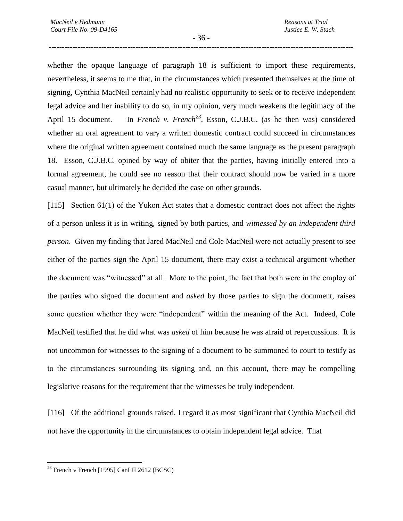- 36 - --------------------------------------------------------------------------------------------------------------------

whether the opaque language of paragraph 18 is sufficient to import these requirements, nevertheless, it seems to me that, in the circumstances which presented themselves at the time of signing, Cynthia MacNeil certainly had no realistic opportunity to seek or to receive independent legal advice and her inability to do so, in my opinion, very much weakens the legitimacy of the April 15 document. In *French v. French*<sup>23</sup>, Esson, C.J.B.C. (as he then was) considered whether an oral agreement to vary a written domestic contract could succeed in circumstances where the original written agreement contained much the same language as the present paragraph 18. Esson, C.J.B.C. opined by way of obiter that the parties, having initially entered into a formal agreement, he could see no reason that their contract should now be varied in a more casual manner, but ultimately he decided the case on other grounds.

[115] Section 61(1) of the Yukon Act states that a domestic contract does not affect the rights of a person unless it is in writing, signed by both parties, and *witnessed by an independent third person*. Given my finding that Jared MacNeil and Cole MacNeil were not actually present to see either of the parties sign the April 15 document, there may exist a technical argument whether the document was "witnessed" at all. More to the point, the fact that both were in the employ of the parties who signed the document and *asked* by those parties to sign the document, raises some question whether they were "independent" within the meaning of the Act. Indeed, Cole MacNeil testified that he did what was *asked* of him because he was afraid of repercussions. It is not uncommon for witnesses to the signing of a document to be summoned to court to testify as to the circumstances surrounding its signing and, on this account, there may be compelling legislative reasons for the requirement that the witnesses be truly independent.

[116] Of the additional grounds raised, I regard it as most significant that Cynthia MacNeil did not have the opportunity in the circumstances to obtain independent legal advice. That

 $\overline{a}$  $^{23}$  French v French [1995] CanLII 2612 (BCSC)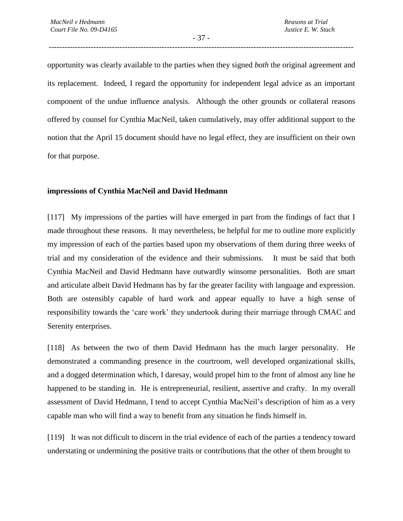- 37 - --------------------------------------------------------------------------------------------------------------------

opportunity was clearly available to the parties when they signed *both* the original agreement and its replacement. Indeed, I regard the opportunity for independent legal advice as an important component of the undue influence analysis. Although the other grounds or collateral reasons offered by counsel for Cynthia MacNeil, taken cumulatively, may offer additional support to the notion that the April 15 document should have no legal effect, they are insufficient on their own for that purpose.

#### **impressions of Cynthia MacNeil and David Hedmann**

[117] My impressions of the parties will have emerged in part from the findings of fact that I made throughout these reasons. It may nevertheless, be helpful for me to outline more explicitly my impression of each of the parties based upon my observations of them during three weeks of trial and my consideration of the evidence and their submissions. It must be said that both Cynthia MacNeil and David Hedmann have outwardly winsome personalities. Both are smart and articulate albeit David Hedmann has by far the greater facility with language and expression. Both are ostensibly capable of hard work and appear equally to have a high sense of responsibility towards the 'care work' they undertook during their marriage through CMAC and Serenity enterprises.

[118] As between the two of them David Hedmann has the much larger personality. He demonstrated a commanding presence in the courtroom, well developed organizational skills, and a dogged determination which, I daresay, would propel him to the front of almost any line he happened to be standing in. He is entrepreneurial, resilient, assertive and crafty. In my overall assessment of David Hedmann, I tend to accept Cynthia MacNeil's description of him as a very capable man who will find a way to benefit from any situation he finds himself in.

[119] It was not difficult to discern in the trial evidence of each of the parties a tendency toward understating or undermining the positive traits or contributions that the other of them brought to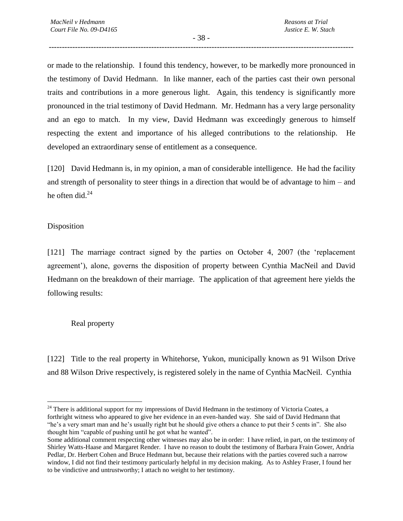- 38 - --------------------------------------------------------------------------------------------------------------------

or made to the relationship. I found this tendency, however, to be markedly more pronounced in the testimony of David Hedmann. In like manner, each of the parties cast their own personal traits and contributions in a more generous light. Again, this tendency is significantly more pronounced in the trial testimony of David Hedmann. Mr. Hedmann has a very large personality and an ego to match. In my view, David Hedmann was exceedingly generous to himself respecting the extent and importance of his alleged contributions to the relationship. He developed an extraordinary sense of entitlement as a consequence.

[120] David Hedmann is, in my opinion, a man of considerable intelligence. He had the facility and strength of personality to steer things in a direction that would be of advantage to him – and he often did.<sup>24</sup>

## Disposition

 $\overline{a}$ 

[121] The marriage contract signed by the parties on October 4, 2007 (the 'replacement agreement'), alone, governs the disposition of property between Cynthia MacNeil and David Hedmann on the breakdown of their marriage. The application of that agreement here yields the following results:

## Real property

[122] Title to the real property in Whitehorse, Yukon, municipally known as 91 Wilson Drive and 88 Wilson Drive respectively, is registered solely in the name of Cynthia MacNeil. Cynthia

<sup>&</sup>lt;sup>24</sup> There is additional support for my impressions of David Hedmann in the testimony of Victoria Coates, a forthright witness who appeared to give her evidence in an even-handed way. She said of David Hedmann that "he's a very smart man and he's usually right but he should give others a chance to put their 5 cents in". She also thought him "capable of pushing until he got what he wanted".

Some additional comment respecting other witnesses may also be in order: I have relied, in part, on the testimony of Shirley Watts-Haase and Margaret Render. I have no reason to doubt the testimony of Barbara Frain Gower, Andria Pedlar, Dr. Herbert Cohen and Bruce Hedmann but, because their relations with the parties covered such a narrow window, I did not find their testimony particularly helpful in my decision making. As to Ashley Fraser, I found her to be vindictive and untrustworthy; I attach no weight to her testimony.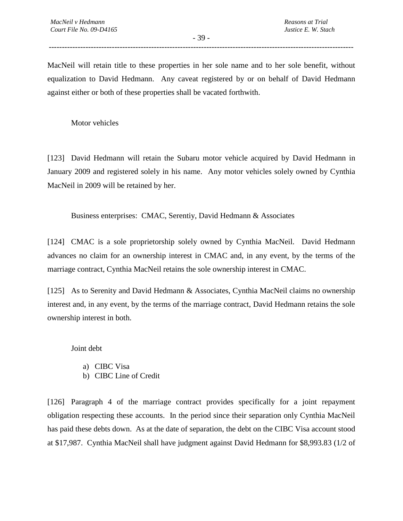- 39 - --------------------------------------------------------------------------------------------------------------------

MacNeil will retain title to these properties in her sole name and to her sole benefit, without equalization to David Hedmann. Any caveat registered by or on behalf of David Hedmann against either or both of these properties shall be vacated forthwith.

Motor vehicles

[123] David Hedmann will retain the Subaru motor vehicle acquired by David Hedmann in January 2009 and registered solely in his name. Any motor vehicles solely owned by Cynthia MacNeil in 2009 will be retained by her.

Business enterprises: CMAC, Serentiy, David Hedmann & Associates

[124] CMAC is a sole proprietorship solely owned by Cynthia MacNeil. David Hedmann advances no claim for an ownership interest in CMAC and, in any event, by the terms of the marriage contract, Cynthia MacNeil retains the sole ownership interest in CMAC.

[125] As to Serenity and David Hedmann & Associates, Cynthia MacNeil claims no ownership interest and, in any event, by the terms of the marriage contract, David Hedmann retains the sole ownership interest in both.

Joint debt

- a) CIBC Visa
- b) CIBC Line of Credit

[126] Paragraph 4 of the marriage contract provides specifically for a joint repayment obligation respecting these accounts. In the period since their separation only Cynthia MacNeil has paid these debts down. As at the date of separation, the debt on the CIBC Visa account stood at \$17,987. Cynthia MacNeil shall have judgment against David Hedmann for \$8,993.83 (1/2 of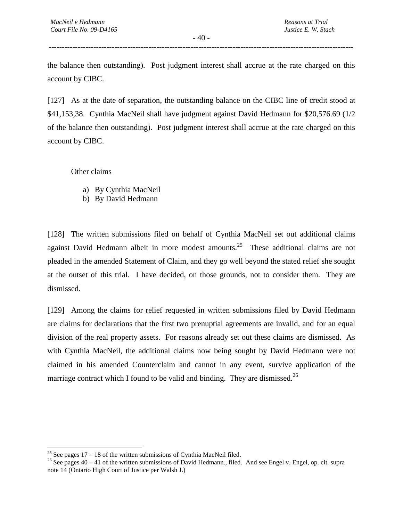- 40 - --------------------------------------------------------------------------------------------------------------------

the balance then outstanding). Post judgment interest shall accrue at the rate charged on this account by CIBC.

[127] As at the date of separation, the outstanding balance on the CIBC line of credit stood at \$41,153,38. Cynthia MacNeil shall have judgment against David Hedmann for \$20,576.69 (1/2 of the balance then outstanding). Post judgment interest shall accrue at the rate charged on this account by CIBC.

Other claims

 $\overline{a}$ 

- a) By Cynthia MacNeil
- b) By David Hedmann

[128] The written submissions filed on behalf of Cynthia MacNeil set out additional claims against David Hedmann albeit in more modest amounts.<sup>25</sup> These additional claims are not pleaded in the amended Statement of Claim, and they go well beyond the stated relief she sought at the outset of this trial. I have decided, on those grounds, not to consider them. They are dismissed.

[129] Among the claims for relief requested in written submissions filed by David Hedmann are claims for declarations that the first two prenuptial agreements are invalid, and for an equal division of the real property assets. For reasons already set out these claims are dismissed. As with Cynthia MacNeil, the additional claims now being sought by David Hedmann were not claimed in his amended Counterclaim and cannot in any event, survive application of the marriage contract which I found to be valid and binding. They are dismissed.<sup>26</sup>

<sup>&</sup>lt;sup>25</sup> See pages  $17 - 18$  of the written submissions of Cynthia MacNeil filed.

<sup>&</sup>lt;sup>26</sup> See pages  $40 - 41$  of the written submissions of David Hedmann., filed. And see Engel v. Engel, op. cit. supra note 14 (Ontario High Court of Justice per Walsh J.)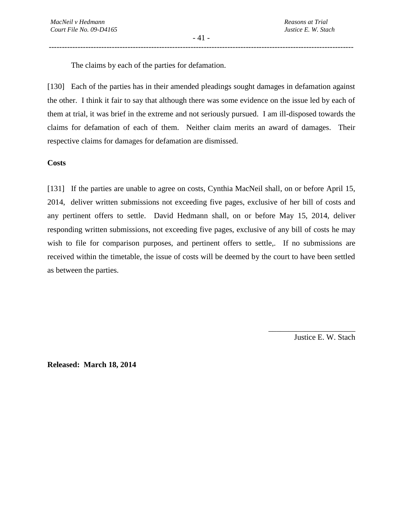The claims by each of the parties for defamation.

[130] Each of the parties has in their amended pleadings sought damages in defamation against the other. I think it fair to say that although there was some evidence on the issue led by each of them at trial, it was brief in the extreme and not seriously pursued. I am ill-disposed towards the claims for defamation of each of them. Neither claim merits an award of damages. Their respective claims for damages for defamation are dismissed.

**Costs** 

[131] If the parties are unable to agree on costs, Cynthia MacNeil shall, on or before April 15, 2014, deliver written submissions not exceeding five pages, exclusive of her bill of costs and any pertinent offers to settle. David Hedmann shall, on or before May 15, 2014, deliver responding written submissions, not exceeding five pages, exclusive of any bill of costs he may wish to file for comparison purposes, and pertinent offers to settle,. If no submissions are received within the timetable, the issue of costs will be deemed by the court to have been settled as between the parties.

Justice E. W. Stach

\_\_\_\_\_\_\_\_\_\_\_\_\_\_\_\_\_\_\_\_\_\_

**Released: March 18, 2014**